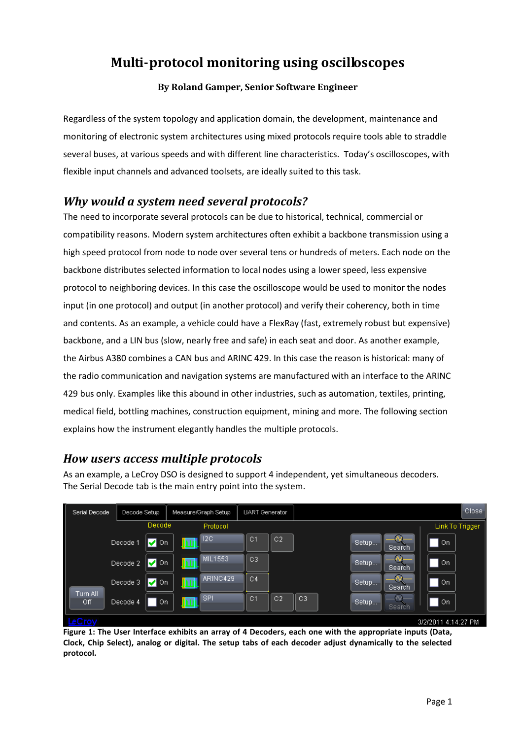# **Multi-protocol monitoring using oscilloscopes**

#### **By Roland Gamper, Senior Software Engineer**

Regardless of the system topology and application domain, the development, maintenance and monitoring of electronic system architectures using mixed protocols require tools able to straddle several buses, at various speeds and with different line characteristics. Today's oscilloscopes, with flexible input channels and advanced toolsets, are ideally suited to this task.

#### *Why would a system need several protocols?*

The need to incorporate several protocols can be due to historical, technical, commercial or compatibility reasons. Modern system architectures often exhibit a backbone transmission using a high speed protocol from node to node over several tens or hundreds of meters. Each node on the backbone distributes selected information to local nodes using a lower speed, less expensive protocol to neighboring devices. In this case the oscilloscope would be used to monitor the nodes input (in one protocol) and output (in another protocol) and verify their coherency, both in time and contents. As an example, a vehicle could have a FlexRay (fast, extremely robust but expensive) backbone, and a LIN bus (slow, nearly free and safe) in each seat and door. As another example, the Airbus A380 combines a CAN bus and ARINC 429. In this case the reason is historical: many of the radio communication and navigation systems are manufactured with an interface to the ARINC 429 bus only. Examples like this abound in other industries, such as automation, textiles, printing, medical field, bottling machines, construction equipment, mining and more. The following section explains how the instrument elegantly handles the multiple protocols.

#### *How users access multiple protocols*

As an example, a LeCroy DSO is designed to support 4 independent, yet simultaneous decoders. The Serial Decode tab is the main entry point into the system.



**Figure 1: The User Interface exhibits an array of 4 Decoders, each one with the appropriate inputs (Data, Clock, Chip Select), analog or digital. The setup tabs of each decoder adjust dynamically to the selected protocol.**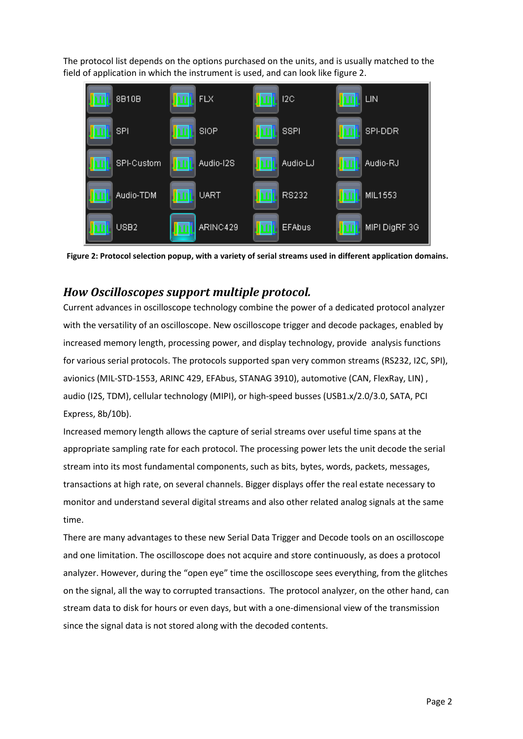The protocol list depends on the options purchased on the units, and is usually matched to the field of application in which the instrument is used, and can look like figure 2.



**Figure 2: Protocol selection popup, with a variety of serial streams used in different application domains.**

#### *How Oscilloscopes support multiple protocol.*

Current advances in oscilloscope technology combine the power of a dedicated protocol analyzer with the versatility of an oscilloscope. New oscilloscope trigger and decode packages, enabled by increased memory length, processing power, and display technology, provide analysis functions for various serial protocols. The protocols supported span very common streams (RS232, I2C, SPI), avionics (MIL-STD-1553, ARINC 429, EFAbus, STANAG 3910), automotive (CAN, FlexRay, LIN) , audio (I2S, TDM), cellular technology (MIPI), or high-speed busses (USB1.x/2.0/3.0, SATA, PCI Express, 8b/10b).

Increased memory length allows the capture of serial streams over useful time spans at the appropriate sampling rate for each protocol. The processing power lets the unit decode the serial stream into its most fundamental components, such as bits, bytes, words, packets, messages, transactions at high rate, on several channels. Bigger displays offer the real estate necessary to monitor and understand several digital streams and also other related analog signals at the same time.

There are many advantages to these new Serial Data Trigger and Decode tools on an oscilloscope and one limitation. The oscilloscope does not acquire and store continuously, as does a protocol analyzer. However, during the "open eye" time the oscilloscope sees everything, from the glitches on the signal, all the way to corrupted transactions. The protocol analyzer, on the other hand, can stream data to disk for hours or even days, but with a one-dimensional view of the transmission since the signal data is not stored along with the decoded contents.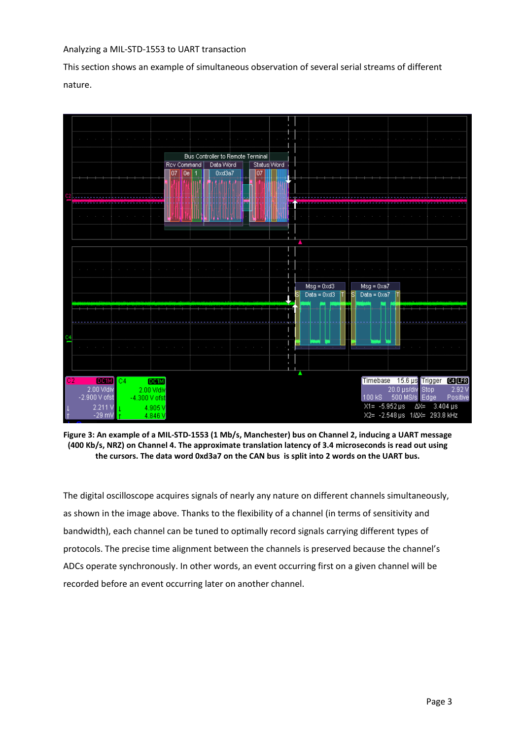#### Analyzing a MIL-STD-1553 to UART transaction

This section shows an example of simultaneous observation of several serial streams of different nature.



**Figure 3: An example of a MIL-STD-1553 (1 Mb/s, Manchester) bus on Channel 2, inducing a UART message (400 Kb/s, NRZ) on Channel 4. The approximate translation latency of 3.4 microseconds is read out using the cursors. The data word 0xd3a7 on the CAN bus is split into 2 words on the UART bus.**

The digital oscilloscope acquires signals of nearly any nature on different channels simultaneously, as shown in the image above. Thanks to the flexibility of a channel (in terms of sensitivity and bandwidth), each channel can be tuned to optimally record signals carrying different types of protocols. The precise time alignment between the channels is preserved because the channel's ADCs operate synchronously. In other words, an event occurring first on a given channel will be recorded before an event occurring later on another channel.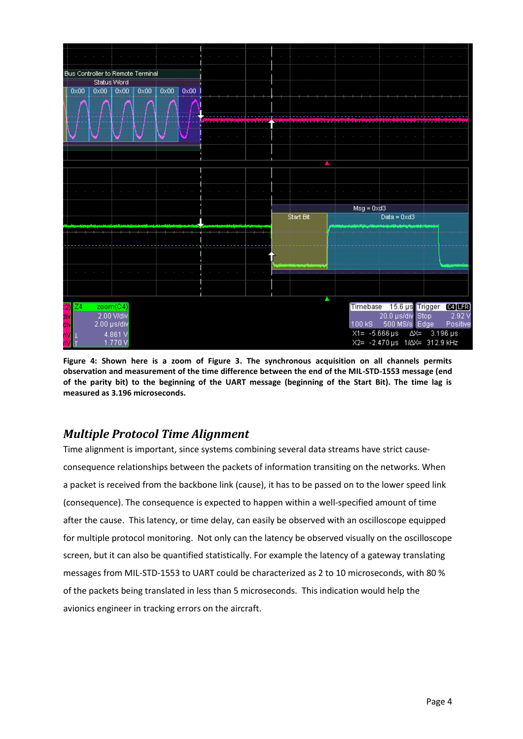

**Figure 4: Shown here is a zoom of Figure 3. The synchronous acquisition on all channels permits observation and measurement of the time difference between the end of the MIL-STD-1553 message (end of the parity bit) to the beginning of the UART message (beginning of the Start Bit). The time lag is measured as 3.196 microseconds.**

### *Multiple Protocol Time Alignment*

Time alignment is important, since systems combining several data streams have strict causeconsequence relationships between the packets of information transiting on the networks. When a packet is received from the backbone link (cause), it has to be passed on to the lower speed link (consequence). The consequence is expected to happen within a well-specified amount of time after the cause. This latency, or time delay, can easily be observed with an oscilloscope equipped for multiple protocol monitoring. Not only can the latency be observed visually on the oscilloscope screen, but it can also be quantified statistically. For example the latency of a gateway translating messages from MIL-STD-1553 to UART could be characterized as 2 to 10 microseconds, with 80 % of the packets being translated in less than 5 microseconds. This indication would help the avionics engineer in tracking errors on the aircraft.